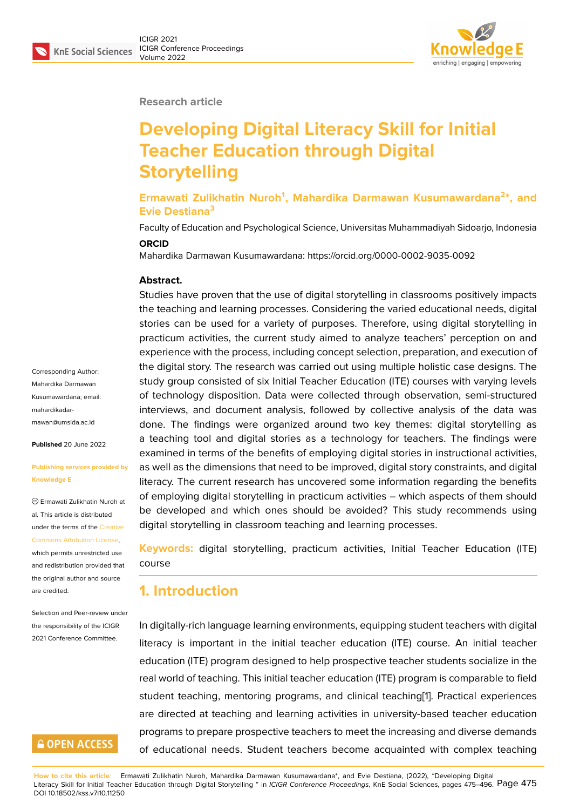#### **Research article**

# **Developing Digital Literacy Skill for Initial Teacher Education through Digital Storytelling**

**Ermawati Zulikhatin Nuroh<sup>1</sup> , Mahardika Darmawan Kusumawardana<sup>2</sup> \*, and Evie Destiana<sup>3</sup>**

Faculty of Education and Psychological Science, Universitas Muhammadiyah Sidoarjo, Indonesia **ORCID**

Mahardika Darmawan Kusumawardana: https://orcid.org/0000-0002-9035-0092

#### **Abstract.**

Studies have proven that the use of digital storytelling in classrooms positively impacts the teaching and learning processes. Considering the varied educational needs, digital stories can be used for a variety of purposes. Therefore, using digital storytelling in practicum activities, the current study aimed to analyze teachers' perception on and experience with the process, including concept selection, preparation, and execution of the digital story. The research was carried out using multiple holistic case designs. The study group consisted of six Initial Teacher Education (ITE) courses with varying levels of technology disposition. Data were collected through observation, semi-structured interviews, and document analysis, followed by collective analysis of the data was done. The findings were organized around two key themes: digital storytelling as a teaching tool and digital stories as a technology for teachers. The findings were examined in terms of the benefits of employing digital stories in instructional activities, as well as the dimensions that need to be improved, digital story constraints, and digital literacy. The current research has uncovered some information regarding the benefits of employing digital storytelling in practicum activities – which aspects of them should be developed and which ones should be avoided? This study recommends using digital storytelling in classroom teaching and learning processes.

**Keywords:** digital storytelling, practicum activities, Initial Teacher Education (ITE) course

### **1. Introduction**

In digitally-rich language learning environments, equipping student teachers with digital literacy is important in the initial teacher education (ITE) course. An initial teacher education (ITE) program designed to help prospective teacher students socialize in the real world of teaching. This initial teacher education (ITE) program is comparable to field student teaching, mentoring programs, and clinical teaching[1]. Practical experiences are directed at teaching and learning activities in university-based teacher education programs to prepare prospective teachers to meet the increasing and diverse demands of educational needs. Student teachers become acquainte[d](#page-17-0) with complex teaching

Corresponding Author: Mahardika Darmawan Kusumawardana; email: mahardikadarmawan@umsida.ac.id

**Published** 20 June 2022

#### **[Publishing services p](mailto:mahardikadarmawan@umsida.ac.id)rovided by Knowledge E**

Ermawati Zulikhatin Nuroh et al. This article is distributed under the terms of the Creative Commons Attribution License, which permits unrestricted use and redistribution provided that the original author and [source](https://creativecommons.org/licenses/by/4.0/) [are credited.](https://creativecommons.org/licenses/by/4.0/)

Selection and Peer-review under the responsibility of the ICIGR 2021 Conference Committee.

## **GOPEN ACCESS**

**How to cite this article**: Ermawati Zulikhatin Nuroh, Mahardika Darmawan Kusumawardana\*, and Evie Destiana, (2022), "Developing Digital Literacy Skill for Initial Teacher Education through Digital Storytelling " in *ICIGR Conference Proceedings*, KnE Social Sciences, pages 475–496. Page 475 DOI 10.18502/kss.v7i10.11250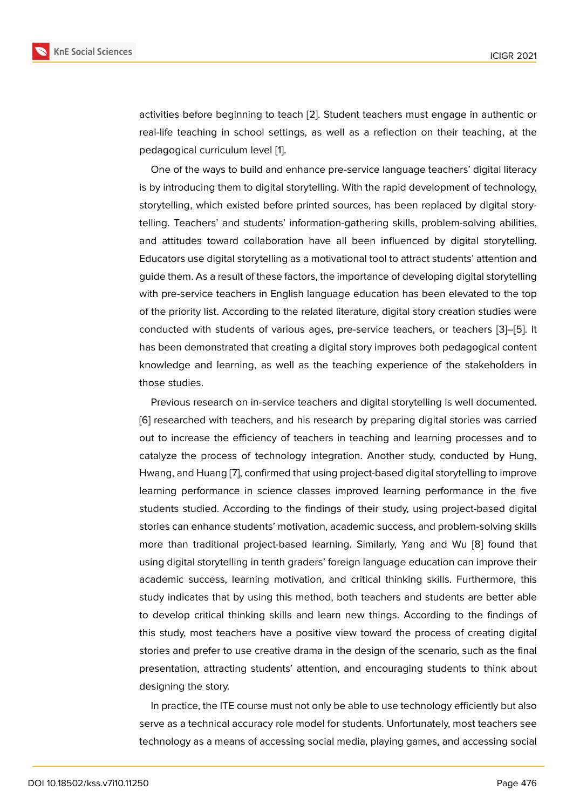activities before beginning to teach [2]. Student teachers must engage in authentic or real-life teaching in school settings, as well as a reflection on their teaching, at the pedagogical curriculum level [1].

One of the ways to build and enha[nc](#page-17-1)e pre-service language teachers' digital literacy is by introducing them to digital storytelling. With the rapid development of technology, storytelling, which existed be[fo](#page-17-0)re printed sources, has been replaced by digital storytelling. Teachers' and students' information-gathering skills, problem-solving abilities, and attitudes toward collaboration have all been influenced by digital storytelling. Educators use digital storytelling as a motivational tool to attract students' attention and guide them. As a result of these factors, the importance of developing digital storytelling with pre-service teachers in English language education has been elevated to the top of the priority list. According to the related literature, digital story creation studies were conducted with students of various ages, pre-service teachers, or teachers [3]–[5]. It has been demonstrated that creating a digital story improves both pedagogical content knowledge and learning, as well as the teaching experience of the stakeholders in those studies.

Previous research on in-service teachers and digital storytelling is well documented. [6] researched with teachers, and his research by preparing digital stories was carried out to increase the efficiency of teachers in teaching and learning processes and to catalyze the process of technology integration. Another study, conducted by Hung, [Hw](#page-17-2)ang, and Huang [7], confirmed that using project-based digital storytelling to improve learning performance in science classes improved learning performance in the five students studied. According to the findings of their study, using project-based digital stories can enhance [s](#page-17-3)tudents' motivation, academic success, and problem-solving skills more than traditional project-based learning. Similarly, Yang and Wu [8] found that using digital storytelling in tenth graders' foreign language education can improve their academic success, learning motivation, and critical thinking skills. Furthermore, this study indicates that by using this method, both teachers and students a[re](#page-17-4) better able to develop critical thinking skills and learn new things. According to the findings of this study, most teachers have a positive view toward the process of creating digital stories and prefer to use creative drama in the design of the scenario, such as the final presentation, attracting students' attention, and encouraging students to think about designing the story.

In practice, the ITE course must not only be able to use technology efficiently but also serve as a technical accuracy role model for students. Unfortunately, most teachers see technology as a means of accessing social media, playing games, and accessing social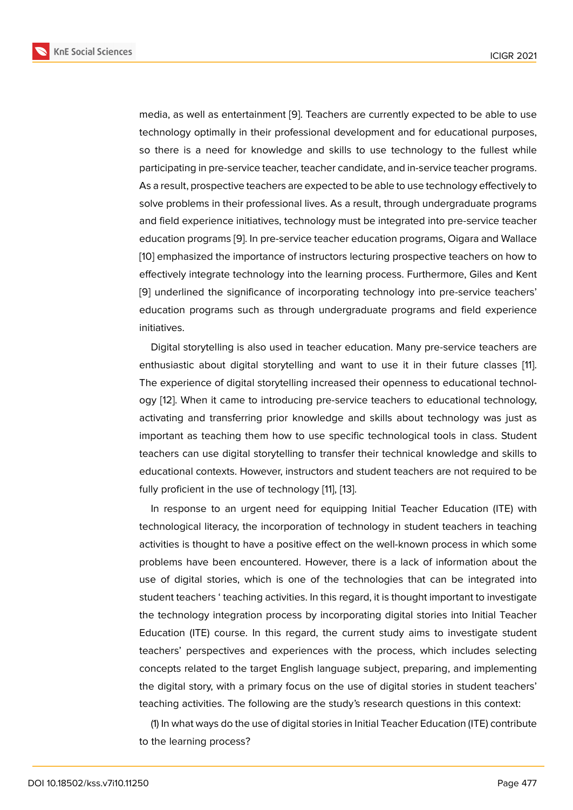media, as well as entertainment [9]. Teachers are currently expected to be able to use technology optimally in their professional development and for educational purposes, so there is a need for knowledge and skills to use technology to the fullest while participating in pre-service teach[er,](#page-17-5) teacher candidate, and in-service teacher programs. As a result, prospective teachers are expected to be able to use technology effectively to solve problems in their professional lives. As a result, through undergraduate programs and field experience initiatives, technology must be integrated into pre-service teacher education programs [9]. In pre-service teacher education programs, Oigara and Wallace [10] emphasized the importance of instructors lecturing prospective teachers on how to effectively integrate technology into the learning process. Furthermore, Giles and Kent [9] underlined the si[gn](#page-17-5)ificance of incorporating technology into pre-service teachers' [edu](#page-17-6)cation programs such as through undergraduate programs and field experience initiatives.

Digital storytelling is also used in teacher education. Many pre-service teachers are enthusiastic about digital storytelling and want to use it in their future classes [11]. The experience of digital storytelling increased their openness to educational technology [12]. When it came to introducing pre-service teachers to educational technology, activating and transferring prior knowledge and skills about technology was just [a](#page-17-7)s important as teaching them how to use specific technological tools in class. Student teac[her](#page-17-8)s can use digital storytelling to transfer their technical knowledge and skills to educational contexts. However, instructors and student teachers are not required to be fully proficient in the use of technology [11], [13].

In response to an urgent need for equipping Initial Teacher Education (ITE) with technological literacy, the incorporation of technology in student teachers in teaching activities is thought to have a positive ef[fe](#page-17-7)ct [on](#page-18-0) the well-known process in which some problems have been encountered. However, there is a lack of information about the use of digital stories, which is one of the technologies that can be integrated into student teachers ' teaching activities. In this regard, it is thought important to investigate the technology integration process by incorporating digital stories into Initial Teacher Education (ITE) course. In this regard, the current study aims to investigate student teachers' perspectives and experiences with the process, which includes selecting concepts related to the target English language subject, preparing, and implementing the digital story, with a primary focus on the use of digital stories in student teachers' teaching activities. The following are the study's research questions in this context:

(1) In what ways do the use of digital stories in Initial Teacher Education (ITE) contribute to the learning process?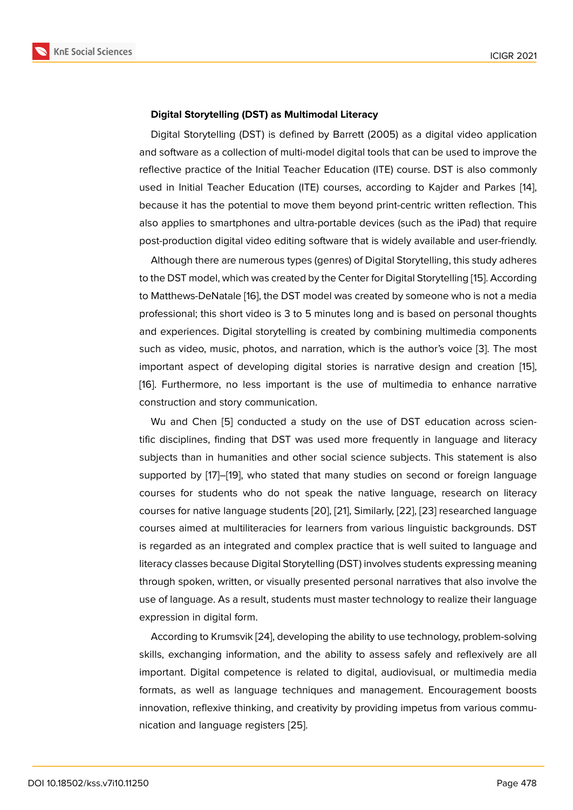#### **Digital Storytelling (DST) as Multimodal Literacy**

Digital Storytelling (DST) is defined by Barrett (2005) as a digital video application and software as a collection of multi-model digital tools that can be used to improve the reflective practice of the Initial Teacher Education (ITE) course. DST is also commonly used in Initial Teacher Education (ITE) courses, according to Kajder and Parkes [14], because it has the potential to move them beyond print-centric written reflection. This also applies to smartphones and ultra-portable devices (such as the iPad) that require post-production digital video editing software that is widely available and user-frien[dly](#page-18-1).

Although there are numerous types (genres) of Digital Storytelling, this study adheres to the DST model, which was created by the Center for Digital Storytelling [15]. According to Matthews-DeNatale [16], the DST model was created by someone who is not a media professional; this short video is 3 to 5 minutes long and is based on personal thoughts and experiences. Digital storytelling is created by combining multimedi[a c](#page-18-2)omponents such as video, music, [pho](#page-18-3)tos, and narration, which is the author's voice [3]. The most important aspect of developing digital stories is narrative design and creation [15], [16]. Furthermore, no less important is the use of multimedia to enhance narrative construction and story communication.

Wu and Chen [5] conducted a study on the use of DST education across sci[en](#page-18-2)[tific](#page-18-3) disciplines, finding that DST was used more frequently in language and literacy subjects than in humanities and other social science subjects. This statement is also supported by [17][–\[1](#page-17-9)9], who stated that many studies on second or foreign language courses for students who do not speak the native language, research on literacy courses for native language students [20], [21], Similarly, [22], [23] researched language courses aimed [at](#page-18-4) [mul](#page-18-5)tiliteracies for learners from various linguistic backgrounds. DST is regarded as an integrated and complex practice that is well suited to language and literacy classes because Digital Storyt[ellin](#page-18-6)g [\(D](#page-18-7)ST) involve[s stu](#page-18-8)[den](#page-18-9)ts expressing meaning through spoken, written, or visually presented personal narratives that also involve the use of language. As a result, students must master technology to realize their language expression in digital form.

According to Krumsvik [24], developing the ability to use technology, problem-solving skills, exchanging information, and the ability to assess safely and reflexively are all important. Digital competence is related to digital, audiovisual, or multimedia media formats, as well as lang[uag](#page-18-10)e techniques and management. Encouragement boosts innovation, reflexive thinking, and creativity by providing impetus from various communication and language registers [25].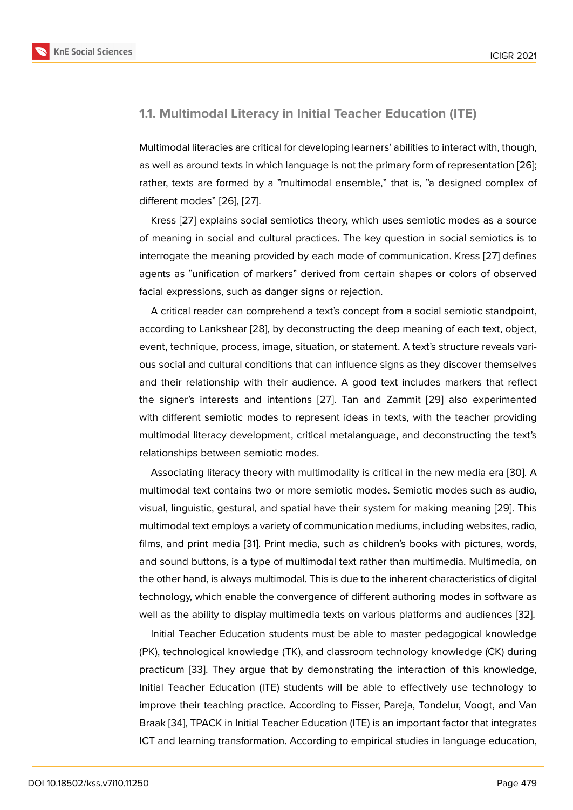#### **1.1. Multimodal Literacy in Initial Teacher Education (ITE)**

Multimodal literacies are critical for developing learners' abilities to interact with, though, as well as around texts in which language is not the primary form of representation [26]; rather, texts are formed by a "multimodal ensemble," that is, "a designed complex of different modes" [26], [27].

Kress [27] explains social semiotics theory, which uses semiotic modes as a so[urce](#page-19-0) of meaning in social and cultural practices. The key question in social semiotics is to interrogate the m[ean](#page-19-0)i[ng p](#page-19-1)rovided by each mode of communication. Kress [27] defines agents a[s "u](#page-19-1)nification of markers" derived from certain shapes or colors of observed facial expressions, such as danger signs or rejection.

A critical reader can comprehend a text's concept from a social semiotic [sta](#page-19-1)ndpoint, according to Lankshear [28], by deconstructing the deep meaning of each text, object, event, technique, process, image, situation, or statement. A text's structure reveals various social and cultural conditions that can influence signs as they discover themselves and their relationship w[ith](#page-19-2) their audience. A good text includes markers that reflect the signer's interests and intentions [27]. Tan and Zammit [29] also experimented with different semiotic modes to represent ideas in texts, with the teacher providing multimodal literacy development, critical metalanguage, and deconstructing the text's relationships between semiotic modes.

Associating literacy theory with multimodality is critical in the new media era [30]. A multimodal text contains two or more semiotic modes. Semiotic modes such as audio, visual, linguistic, gestural, and spatial have their system for making meaning [29]. This multimodal text employs a variety of communication mediums, including websites, [rad](#page-19-3)io, films, and print media [31]. Print media, such as children's books with pictures, words, and sound buttons, is a type of multimodal text rather than multimedia. Multi[med](#page-19-4)ia, on the other hand, is always multimodal. This is due to the inherent characteristics of digital technology, which ena[ble](#page-19-5) the convergence of different authoring modes in software as well as the ability to display multimedia texts on various platforms and audiences [32].

Initial Teacher Education students must be able to master pedagogical knowledge (PK), technological knowledge (TK), and classroom technology knowledge (CK) during practicum [33]. They argue that by demonstrating the interaction of this knowle[dge](#page-19-6), Initial Teacher Education (ITE) students will be able to effectively use technology to improve their teaching practice. According to Fisser, Pareja, Tondelur, Voogt, and Van Braak [34], [TPA](#page-19-7)CK in Initial Teacher Education (ITE) is an important factor that integrates ICT and learning transformation. According to empirical studies in language education,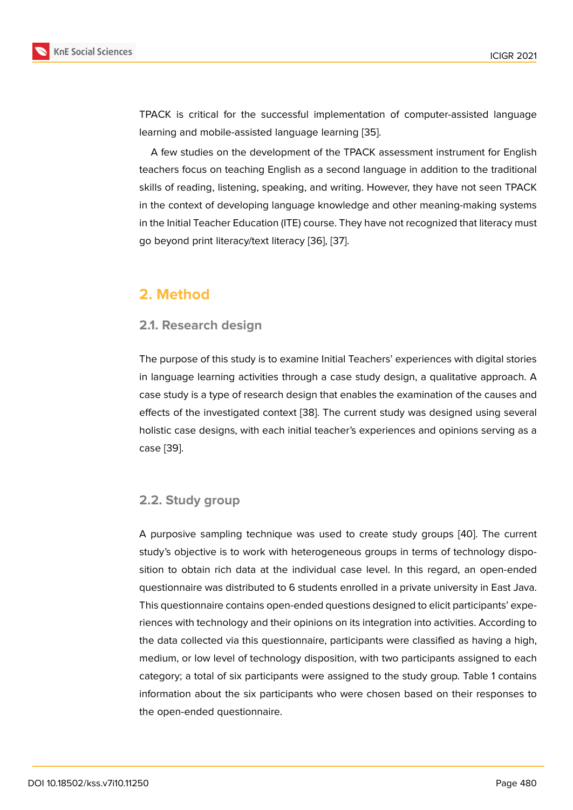TPACK is critical for the successful implementation of computer-assisted language learning and mobile-assisted language learning [35].

A few studies on the development of the TPACK assessment instrument for English teachers focus on teaching English as a second language in addition to the traditional skills of reading, listening, speaking, and writing. [Ho](#page-19-8)wever, they have not seen TPACK in the context of developing language knowledge and other meaning-making systems in the Initial Teacher Education (ITE) course. They have not recognized that literacy must go beyond print literacy/text literacy [36], [37].

# **2. Method**

#### **2.1. Research design**

The purpose of this study is to examine Initial Teachers' experiences with digital stories in language learning activities through a case study design, a qualitative approach. A case study is a type of research design that enables the examination of the causes and effects of the investigated context [38]. The current study was designed using several holistic case designs, with each initial teacher's experiences and opinions serving as a case [39].

### **2.2. [Stu](#page-19-9)dy group**

A purposive sampling technique was used to create study groups [40]. The current study's objective is to work with heterogeneous groups in terms of technology disposition to obtain rich data at the individual case level. In this regard, an open-ended questionnaire was distributed to 6 students enrolled in a private unive[rsity](#page-19-10) in East Java. This questionnaire contains open-ended questions designed to elicit participants' experiences with technology and their opinions on its integration into activities. According to the data collected via this questionnaire, participants were classified as having a high, medium, or low level of technology disposition, with two participants assigned to each category; a total of six participants were assigned to the study group. Table 1 contains information about the six participants who were chosen based on their responses to the open-ended questionnaire.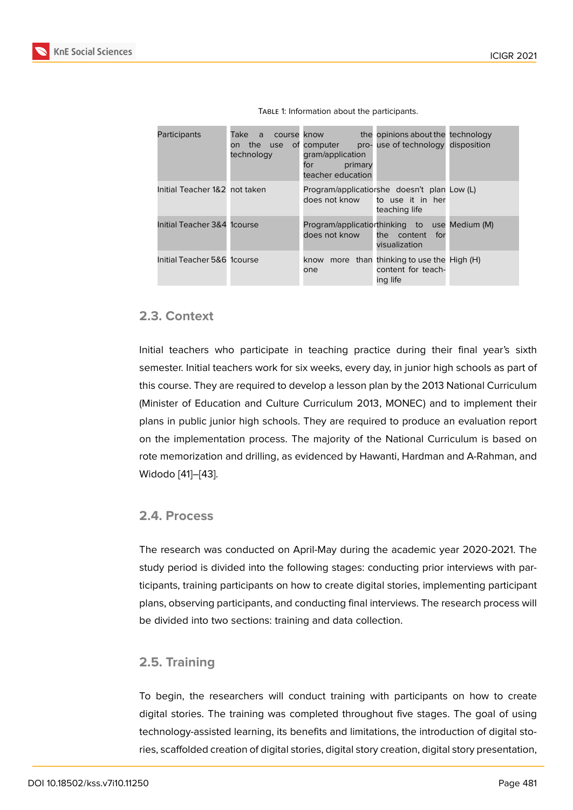| Participants                  | Take a<br>course know<br>on the<br>technology | use of computer<br>gram/application<br>for<br>primary<br>teacher education | the opinions about the technology<br>pro-use of technology disposition               |  |
|-------------------------------|-----------------------------------------------|----------------------------------------------------------------------------|--------------------------------------------------------------------------------------|--|
| Initial Teacher 1&2 not taken |                                               | does not know                                                              | Program/applicatiorshe doesn't plan Low (L)<br>to use it in her<br>teaching life     |  |
| Initial Teacher 3&4 1 course  |                                               | does not know                                                              | Program/applicatiorthinking to use Medium (M)<br>the content<br>for<br>visualization |  |
| Initial Teacher 5&6 1 course  |                                               | know<br>one                                                                | more than thinking to use the High (H)<br>content for teach-<br>ing life             |  |

TABLE 1: Information about the participants.

#### **2.3. Context**

Initial teachers who participate in teaching practice during their final year's sixth semester. Initial teachers work for six weeks, every day, in junior high schools as part of this course. They are required to develop a lesson plan by the 2013 National Curriculum (Minister of Education and Culture Curriculum 2013, MONEC) and to implement their plans in public junior high schools. They are required to produce an evaluation report on the implementation process. The majority of the National Curriculum is based on rote memorization and drilling, as evidenced by Hawanti, Hardman and A-Rahman, and Widodo [41]–[43].

#### **2.4. Pr[oc](#page-19-11)e[ss](#page-20-0)**

The research was conducted on April-May during the academic year 2020-2021. The study period is divided into the following stages: conducting prior interviews with participants, training participants on how to create digital stories, implementing participant plans, observing participants, and conducting final interviews. The research process will be divided into two sections: training and data collection.

#### **2.5. Training**

To begin, the researchers will conduct training with participants on how to create digital stories. The training was completed throughout five stages. The goal of using technology-assisted learning, its benefits and limitations, the introduction of digital stories, scaffolded creation of digital stories, digital story creation, digital story presentation,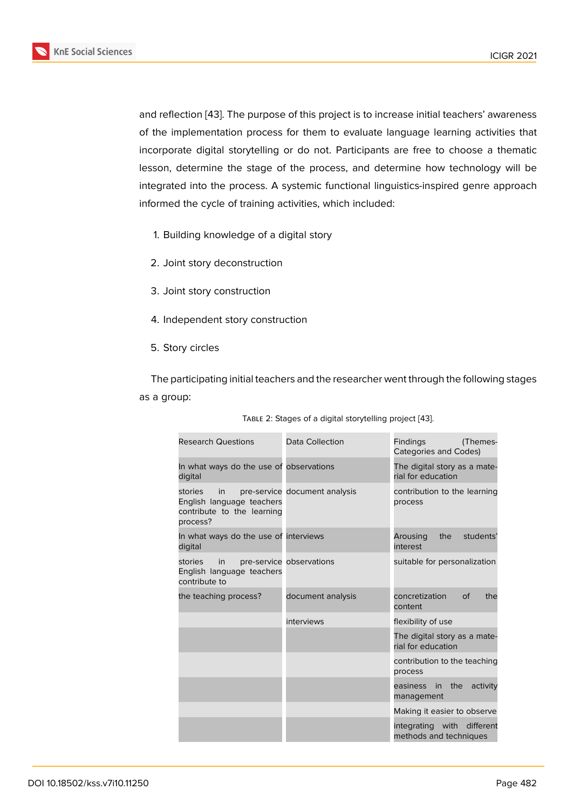and reflection [43]. The purpose of this project is to increase initial teachers' awareness of the implementation process for them to evaluate language learning activities that incorporate digital storytelling or do not. Participants are free to choose a thematic lesson, deter[mine](#page-20-0) the stage of the process, and determine how technology will be integrated into the process. A systemic functional linguistics-inspired genre approach informed the cycle of training activities, which included:

- 1. Building knowledge of a digital story
- 2. Joint story deconstruction
- 3. Joint story construction
- 4. Independent story construction
- 5. Story circles

The participating initial teachers and the researcher went through the following stages as a group:

| <b>Research Questions</b>                                                            | Data Collection               | <b>Findings</b><br>(Themes-<br>Categories and Codes) |
|--------------------------------------------------------------------------------------|-------------------------------|------------------------------------------------------|
| In what ways do the use of observations<br>digital                                   |                               | The digital story as a mate-<br>rial for education   |
| stories<br>in<br>English language teachers<br>contribute to the learning<br>process? | pre-service document analysis | contribution to the learning<br>process              |
| In what ways do the use of interviews<br>digital                                     |                               | Arousing<br>the<br>students'<br>interest             |
| stories<br>in<br>English language teachers<br>contribute to                          | pre-service observations      | suitable for personalization                         |
| the teaching process?                                                                | document analysis             | concretization<br>$\circ$ f<br>the<br>content        |
|                                                                                      | interviews                    | flexibility of use                                   |
|                                                                                      |                               | The digital story as a mate-<br>rial for education   |
|                                                                                      |                               | contribution to the teaching<br>process              |
|                                                                                      |                               | the<br>easiness in<br>activity<br>management         |
|                                                                                      |                               | Making it easier to observe                          |
|                                                                                      |                               | integrating with different<br>methods and techniques |

|  |  | TABLE 2: Stages of a digital storytelling project [43]. |
|--|--|---------------------------------------------------------|
|  |  |                                                         |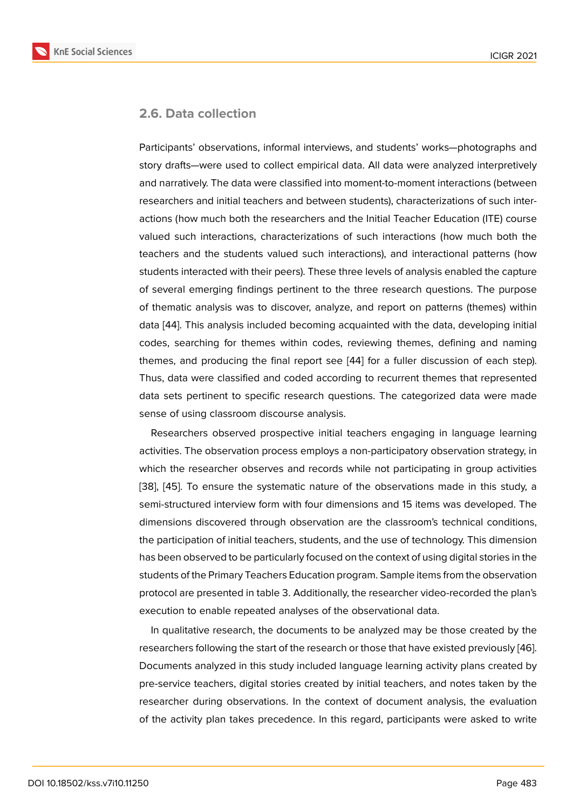#### **2.6. Data collection**

Participants' observations, informal interviews, and students' works—photographs and story drafts—were used to collect empirical data. All data were analyzed interpretively and narratively. The data were classified into moment-to-moment interactions (between researchers and initial teachers and between students), characterizations of such interactions (how much both the researchers and the Initial Teacher Education (ITE) course valued such interactions, characterizations of such interactions (how much both the teachers and the students valued such interactions), and interactional patterns (how students interacted with their peers). These three levels of analysis enabled the capture of several emerging findings pertinent to the three research questions. The purpose of thematic analysis was to discover, analyze, and report on patterns (themes) within data [44]. This analysis included becoming acquainted with the data, developing initial codes, searching for themes within codes, reviewing themes, defining and naming themes, and producing the final report see [44] for a fuller discussion of each step). Thus, [da](#page-20-1)ta were classified and coded according to recurrent themes that represented data sets pertinent to specific research questions. The categorized data were made sense of using classroom discourse analysis.

Researchers observed prospective initial teachers engaging in language learning activities. The observation process employs a non-participatory observation strategy, in which the researcher observes and records while not participating in group activities [38], [45]. To ensure the systematic nature of the observations made in this study, a semi-structured interview form with four dimensions and 15 items was developed. The dimensions discovered through observation are the classroom's technical conditions, [the](#page-19-12) p[artic](#page-20-2)ipation of initial teachers, students, and the use of technology. This dimension has been observed to be particularly focused on the context of using digital stories in the students of the Primary Teachers Education program. Sample items from the observation protocol are presented in table 3. Additionally, the researcher video-recorded the plan's execution to enable repeated analyses of the observational data.

In qualitative research, the documents to be analyzed may be those created by the researchers following the start of the research or those that have existed previously [46]. Documents analyzed in this study included language learning activity plans created by pre-service teachers, digital stories created by initial teachers, and notes taken by the researcher during observations. In the context of document analysis, the evalua[tion](#page-20-3) of the activity plan takes precedence. In this regard, participants were asked to write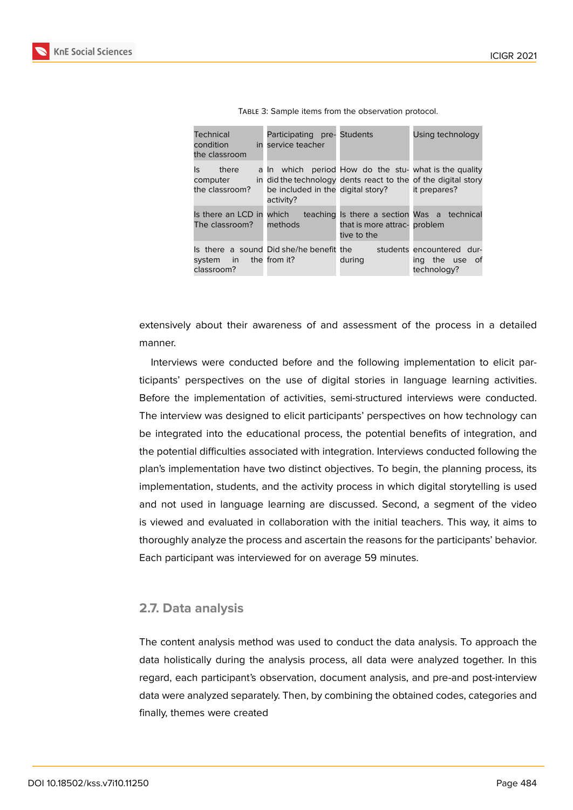| Technical<br>condition<br>the classroom    | Participating pre- Students<br>in service teacher                                                                                                                        |                                                                                            | Using technology                                           |
|--------------------------------------------|--------------------------------------------------------------------------------------------------------------------------------------------------------------------------|--------------------------------------------------------------------------------------------|------------------------------------------------------------|
| Is there<br>computer<br>the classroom?     | a In which period How do the stu- what is the quality<br>in did the technology dents react to the of the digital story<br>be included in the digital story?<br>activity? |                                                                                            | it prepares?                                               |
| Is there an LCD in which<br>The classroom? | methods                                                                                                                                                                  | teaching Is there a section Was a technical<br>that is more attrac- problem<br>tive to the |                                                            |
| system in the from it?<br>classroom?       | Is there a sound Did she/he benefit the                                                                                                                                  | during                                                                                     | students encountered dur-<br>ing the use of<br>technology? |

| TABLE 3: Sample items from the observation protocol. |  |  |  |
|------------------------------------------------------|--|--|--|
|------------------------------------------------------|--|--|--|

extensively about their awareness of and assessment of the process in a detailed manner.

Interviews were conducted before and the following implementation to elicit participants' perspectives on the use of digital stories in language learning activities. Before the implementation of activities, semi-structured interviews were conducted. The interview was designed to elicit participants' perspectives on how technology can be integrated into the educational process, the potential benefits of integration, and the potential difficulties associated with integration. Interviews conducted following the plan's implementation have two distinct objectives. To begin, the planning process, its implementation, students, and the activity process in which digital storytelling is used and not used in language learning are discussed. Second, a segment of the video is viewed and evaluated in collaboration with the initial teachers. This way, it aims to thoroughly analyze the process and ascertain the reasons for the participants' behavior. Each participant was interviewed for on average 59 minutes.

#### **2.7. Data analysis**

The content analysis method was used to conduct the data analysis. To approach the data holistically during the analysis process, all data were analyzed together. In this regard, each participant's observation, document analysis, and pre-and post-interview data were analyzed separately. Then, by combining the obtained codes, categories and finally, themes were created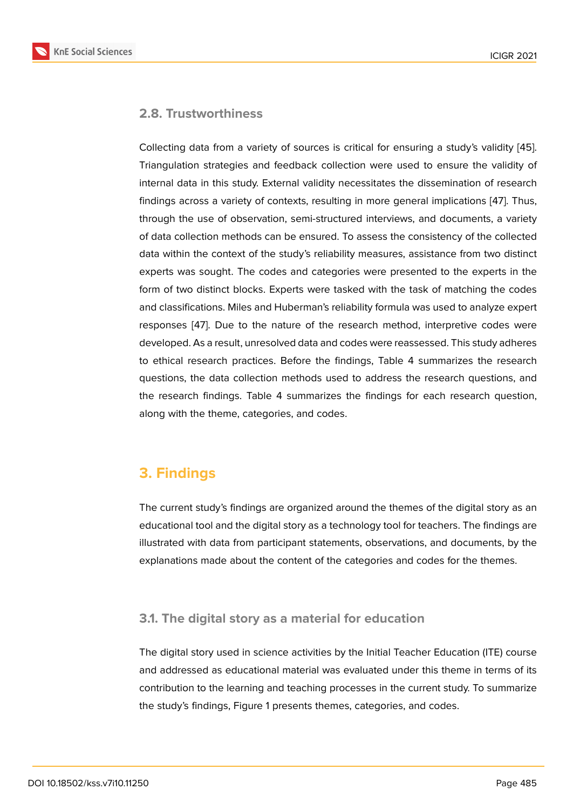### **2.8. Trustworthiness**

Collecting data from a variety of sources is critical for ensuring a study's validity [45]. Triangulation strategies and feedback collection were used to ensure the validity of internal data in this study. External validity necessitates the dissemination of research findings across a variety of contexts, resulting in more general implications [47]. T[hus](#page-20-2), through the use of observation, semi-structured interviews, and documents, a variety of data collection methods can be ensured. To assess the consistency of the collected data within the context of the study's reliability measures, assistance from t[wo](#page-20-4) distinct experts was sought. The codes and categories were presented to the experts in the form of two distinct blocks. Experts were tasked with the task of matching the codes and classifications. Miles and Huberman's reliability formula was used to analyze expert responses [47]. Due to the nature of the research method, interpretive codes were developed. As a result, unresolved data and codes were reassessed. This study adheres to ethical research practices. Before the findings, Table 4 summarizes the research questions, t[he](#page-20-4) data collection methods used to address the research questions, and the research findings. Table 4 summarizes the findings for each research question, along with the theme, categories, and codes.

# **3. Findings**

The current study's findings are organized around the themes of the digital story as an educational tool and the digital story as a technology tool for teachers. The findings are illustrated with data from participant statements, observations, and documents, by the explanations made about the content of the categories and codes for the themes.

### **3.1. The digital story as a material for education**

The digital story used in science activities by the Initial Teacher Education (ITE) course and addressed as educational material was evaluated under this theme in terms of its contribution to the learning and teaching processes in the current study. To summarize the study's findings, Figure 1 presents themes, categories, and codes.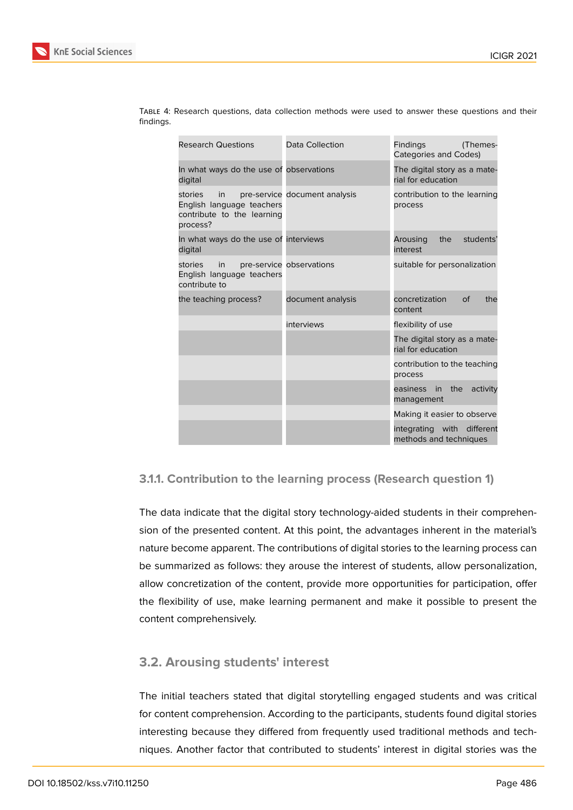

| <b>Research Questions</b>                                                            | Data Collection               | <b>Findings</b><br>(Themes-<br><b>Categories and Codes)</b> |  |
|--------------------------------------------------------------------------------------|-------------------------------|-------------------------------------------------------------|--|
| In what ways do the use of observations<br>digital                                   |                               | The digital story as a mate-<br>rial for education          |  |
| stories<br>in<br>English language teachers<br>contribute to the learning<br>process? | pre-service document analysis | contribution to the learning<br>process                     |  |
| In what ways do the use of interviews<br>digital                                     |                               | students'<br>Arousing<br>the<br>interest                    |  |
| stories<br>in<br>English language teachers<br>contribute to                          | pre-service observations      | suitable for personalization                                |  |
| the teaching process?                                                                | document analysis             | concretization<br><sub>of</sub><br>the<br>content           |  |
|                                                                                      | interviews                    | flexibility of use                                          |  |
|                                                                                      |                               | The digital story as a mate-<br>rial for education          |  |
|                                                                                      |                               | contribution to the teaching<br>process                     |  |
|                                                                                      |                               | easiness in the<br>activity<br>management                   |  |
|                                                                                      |                               | Making it easier to observe                                 |  |
|                                                                                      |                               | integrating with different<br>methods and techniques        |  |

Table 4: Research questions, data collection methods were used to answer these questions and their findings.

#### **3.1.1. Contribution to the learning process (Research question 1)**

The data indicate that the digital story technology-aided students in their comprehension of the presented content. At this point, the advantages inherent in the material's nature become apparent. The contributions of digital stories to the learning process can be summarized as follows: they arouse the interest of students, allow personalization, allow concretization of the content, provide more opportunities for participation, offer the flexibility of use, make learning permanent and make it possible to present the content comprehensively.

### **3.2. Arousing students' interest**

The initial teachers stated that digital storytelling engaged students and was critical for content comprehension. According to the participants, students found digital stories interesting because they differed from frequently used traditional methods and techniques. Another factor that contributed to students' interest in digital stories was the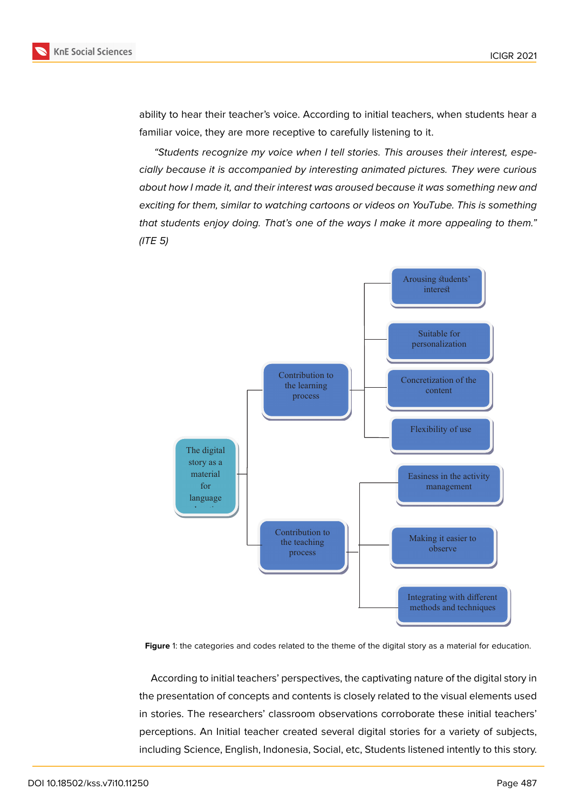

ability to hear their teacher's voice. According to initial teachers, when students hear a familiar voice, they are more receptive to carefully listening to it.

*"Students recognize my voice when I tell stories. This arouses their interest, especially because it is accompanied by interesting animated pictures. They were curious about how I made it, and their interest was aroused because it was something new and exciting for them, similar to watching cartoons or videos on YouTube. This is something that students enjoy doing. That's one of the ways I make it more appealing to them." (ITE 5)*



**Figure** 1: the categories and codes related to the theme of the digital story as a material for education.

According to initial teachers' perspectives, the captivating nature of the digital story in the presentation of concepts and contents is closely related to the visual elements used in stories. The researchers' classroom observations corroborate these initial teachers' perceptions. An Initial teacher created several digital stories for a variety of subjects, including Science, English, Indonesia, Social, etc, Students listened intently to this story.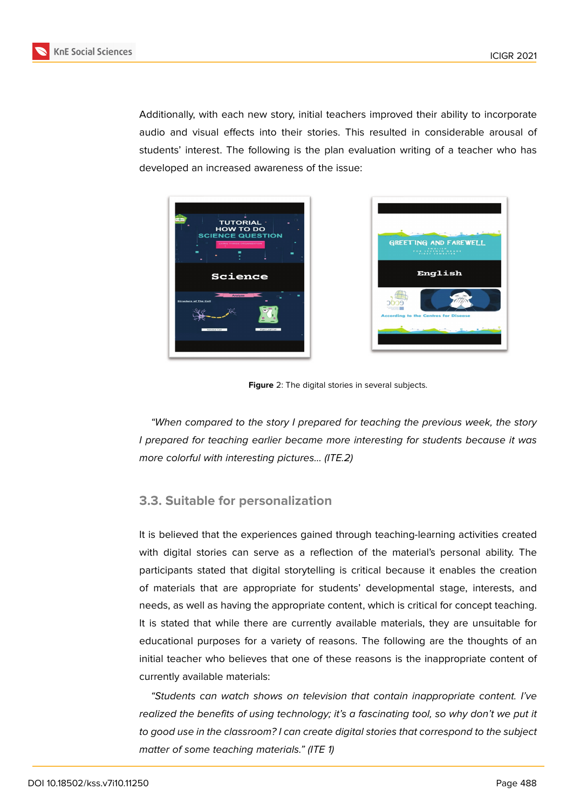

Additionally, with each new story, initial teachers improved their ability to incorporate audio and visual effects into their stories. This resulted in considerable arousal of students' interest. The following is the plan evaluation writing of a teacher who has developed an increased awareness of the issue:





**Figure** 2: The digital stories in several subjects.

*"When compared to the story I prepared for teaching the previous week, the story I prepared for teaching earlier became more interesting for students because it was more colorful with interesting pictures... (ITE.2)*

### **3.3. Suitable for personalization**

It is believed that the experiences gained through teaching-learning activities created with digital stories can serve as a reflection of the material's personal ability. The participants stated that digital storytelling is critical because it enables the creation of materials that are appropriate for students' developmental stage, interests, and needs, as well as having the appropriate content, which is critical for concept teaching. It is stated that while there are currently available materials, they are unsuitable for educational purposes for a variety of reasons. The following are the thoughts of an initial teacher who believes that one of these reasons is the inappropriate content of currently available materials:

*"Students can watch shows on television that contain inappropriate content. I've realized the benefits of using technology; it's a fascinating tool, so why don't we put it to good use in the classroom? I can create digital stories that correspond to the subject matter of some teaching materials." (ITE 1)*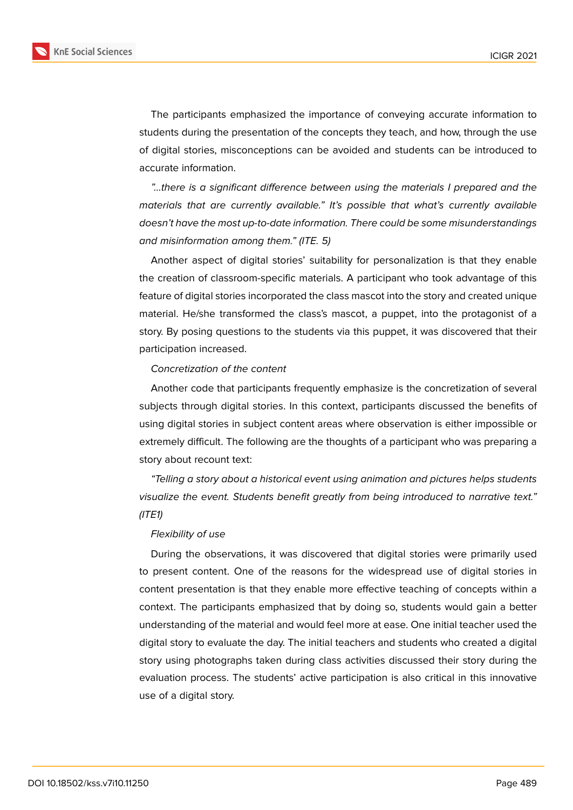**KnE Social Sciences** 

The participants emphasized the importance of conveying accurate information to students during the presentation of the concepts they teach, and how, through the use of digital stories, misconceptions can be avoided and students can be introduced to accurate information.

*"...there is a significant difference between using the materials I prepared and the materials that are currently available." It's possible that what's currently available doesn't have the most up-to-date information. There could be some misunderstandings and misinformation among them." (ITE. 5)*

Another aspect of digital stories' suitability for personalization is that they enable the creation of classroom-specific materials. A participant who took advantage of this feature of digital stories incorporated the class mascot into the story and created unique material. He/she transformed the class's mascot, a puppet, into the protagonist of a story. By posing questions to the students via this puppet, it was discovered that their participation increased.

#### *Concretization of the content*

Another code that participants frequently emphasize is the concretization of several subjects through digital stories. In this context, participants discussed the benefits of using digital stories in subject content areas where observation is either impossible or extremely difficult. The following are the thoughts of a participant who was preparing a story about recount text:

*"Telling a story about a historical event using animation and pictures helps students visualize the event. Students benefit greatly from being introduced to narrative text." (ITE1)*

#### *Flexibility of use*

During the observations, it was discovered that digital stories were primarily used to present content. One of the reasons for the widespread use of digital stories in content presentation is that they enable more effective teaching of concepts within a context. The participants emphasized that by doing so, students would gain a better understanding of the material and would feel more at ease. One initial teacher used the digital story to evaluate the day. The initial teachers and students who created a digital story using photographs taken during class activities discussed their story during the evaluation process. The students' active participation is also critical in this innovative use of a digital story.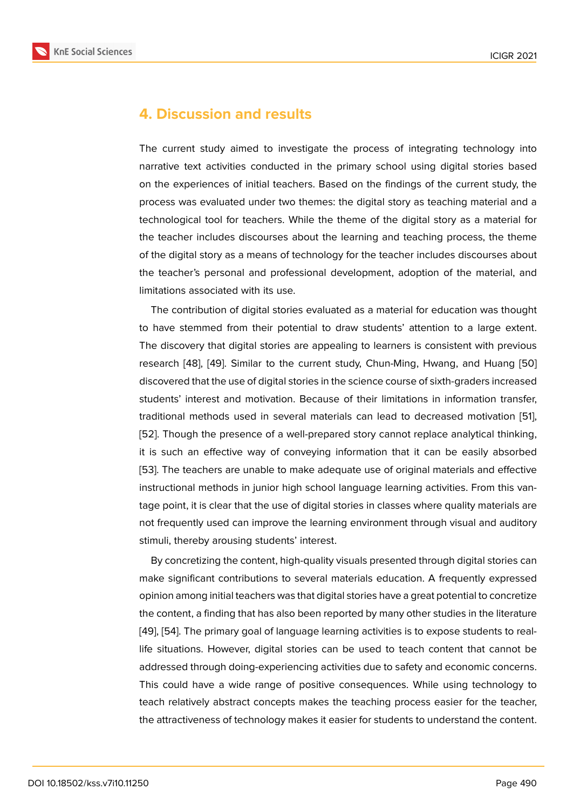# **4. Discussion and results**

The current study aimed to investigate the process of integrating technology into narrative text activities conducted in the primary school using digital stories based on the experiences of initial teachers. Based on the findings of the current study, the process was evaluated under two themes: the digital story as teaching material and a technological tool for teachers. While the theme of the digital story as a material for the teacher includes discourses about the learning and teaching process, the theme of the digital story as a means of technology for the teacher includes discourses about the teacher's personal and professional development, adoption of the material, and limitations associated with its use.

The contribution of digital stories evaluated as a material for education was thought to have stemmed from their potential to draw students' attention to a large extent. The discovery that digital stories are appealing to learners is consistent with previous research [48], [49]. Similar to the current study, Chun-Ming, Hwang, and Huang [50] discovered that the use of digital stories in the science course of sixth-graders increased students' interest and motivation. Because of their limitations in information transfer, traditional [me](#page-20-5)t[hod](#page-20-6)s used in several materials can lead to decreased motivation [[51\],](#page-20-7) [52]. Though the presence of a well-prepared story cannot replace analytical thinking, it is such an effective way of conveying information that it can be easily absorbed [53]. The teachers are unable to make adequate use of original materials and effec[tive](#page-20-8) i[nst](#page-20-9)ructional methods in junior high school language learning activities. From this vantage point, it is clear that the use of digital stories in classes where quality materials are [not](#page-20-10) frequently used can improve the learning environment through visual and auditory stimuli, thereby arousing students' interest.

By concretizing the content, high-quality visuals presented through digital stories can make significant contributions to several materials education. A frequently expressed opinion among initial teachers was that digital stories have a great potential to concretize the content, a finding that has also been reported by many other studies in the literature [49], [54]. The primary goal of language learning activities is to expose students to reallife situations. However, digital stories can be used to teach content that cannot be addressed through doing-experiencing activities due to safety and economic concerns. [This](#page-20-6) [cou](#page-21-0)ld have a wide range of positive consequences. While using technology to teach relatively abstract concepts makes the teaching process easier for the teacher, the attractiveness of technology makes it easier for students to understand the content.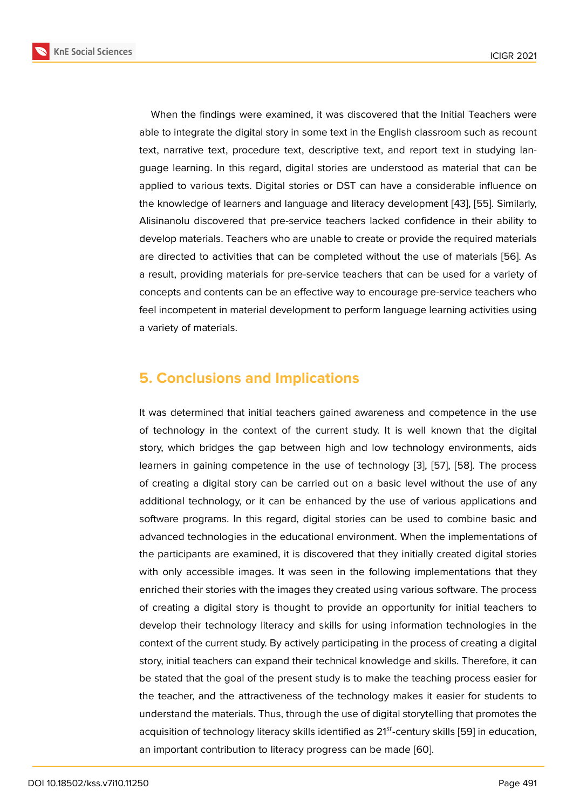When the findings were examined, it was discovered that the Initial Teachers were able to integrate the digital story in some text in the English classroom such as recount text, narrative text, procedure text, descriptive text, and report text in studying language learning. In this regard, digital stories are understood as material that can be applied to various texts. Digital stories or DST can have a considerable influence on the knowledge of learners and language and literacy development [43], [55]. Similarly, Alisinanolu discovered that pre-service teachers lacked confidence in their ability to develop materials. Teachers who are unable to create or provide the required materials are directed to activities that can be completed without the use of [ma](#page-20-0)t[eria](#page-21-1)ls [56]. As a result, providing materials for pre-service teachers that can be used for a variety of concepts and contents can be an effective way to encourage pre-service teachers who feel incompetent in material development to perform language learning activiti[es u](#page-21-2)sing a variety of materials.

# **5. Conclusions and Implications**

It was determined that initial teachers gained awareness and competence in the use of technology in the context of the current study. It is well known that the digital story, which bridges the gap between high and low technology environments, aids learners in gaining competence in the use of technology [3], [57], [58]. The process of creating a digital story can be carried out on a basic level without the use of any additional technology, or it can be enhanced by the use of various applications and software programs. In this regard, digital stories can be u[se](#page-17-10)d [to](#page-21-3) c[omb](#page-21-4)ine basic and advanced technologies in the educational environment. When the implementations of the participants are examined, it is discovered that they initially created digital stories with only accessible images. It was seen in the following implementations that they enriched their stories with the images they created using various software. The process of creating a digital story is thought to provide an opportunity for initial teachers to develop their technology literacy and skills for using information technologies in the context of the current study. By actively participating in the process of creating a digital story, initial teachers can expand their technical knowledge and skills. Therefore, it can be stated that the goal of the present study is to make the teaching process easier for the teacher, and the attractiveness of the technology makes it easier for students to understand the materials. Thus, through the use of digital storytelling that promotes the acquisition of technology literacy skills identified as  $21^{st}$ -century skills [59] in education, an important contribution to literacy progress can be made [60].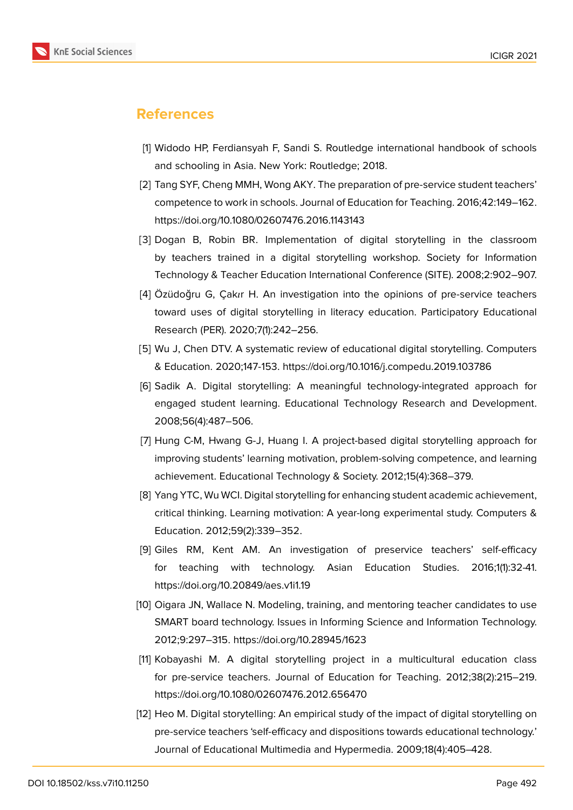

# **References**

- <span id="page-17-0"></span>[1] Widodo HP, Ferdiansyah F, Sandi S. Routledge international handbook of schools and schooling in Asia. New York: Routledge; 2018.
- <span id="page-17-1"></span>[2] Tang SYF, Cheng MMH, Wong AKY. The preparation of pre-service student teachers' competence to work in schools. Journal of Education for Teaching. 2016;42:149–162. https://doi.org/10.1080/02607476.2016.1143143
- <span id="page-17-10"></span>[3] Dogan B, Robin BR. Implementation of digital storytelling in the classroom by teachers trained in a digital storytelling workshop. Society for Information Technology & Teacher Education International Conference (SITE). 2008;2:902–907.
- [4] Özüdoğru G, Çakr H. An investigation into the opinions of pre-service teachers toward uses of digital storytelling in literacy education. Participatory Educational Research (PER). 2020;7(1):242–256.
- <span id="page-17-9"></span>[5] Wu J, Chen DTV. A systematic review of educational digital storytelling. Computers & Education. 2020;147-153. https://doi.org/10.1016/j.compedu.2019.103786
- <span id="page-17-2"></span>[6] Sadik A. Digital storytelling: A meaningful technology-integrated approach for engaged student learning. Educational Technology Research and Development. 2008;56(4):487–506.
- <span id="page-17-3"></span>[7] Hung C-M, Hwang G-J, Huang I. A project-based digital storytelling approach for improving students' learning motivation, problem-solving competence, and learning achievement. Educational Technology & Society. 2012;15(4):368–379.
- <span id="page-17-4"></span>[8] Yang YTC, Wu WCI. Digital storytelling for enhancing student academic achievement, critical thinking. Learning motivation: A year-long experimental study. Computers & Education. 2012;59(2):339–352.
- <span id="page-17-5"></span>[9] Giles RM, Kent AM. An investigation of preservice teachers' self-efficacy for teaching with technology. Asian Education Studies. 2016;1(1):32-41. https://doi.org/10.20849/aes.v1i1.19
- <span id="page-17-6"></span>[10] Oigara JN, Wallace N. Modeling, training, and mentoring teacher candidates to use SMART board technology. Issues in Informing Science and Information Technology. 2012;9:297–315. https://doi.org/10.28945/1623
- <span id="page-17-7"></span>[11] Kobayashi M. A digital storytelling project in a multicultural education class for pre-service teachers. Journal of Education for Teaching. 2012;38(2):215–219. https://doi.org/10.1080/02607476.2012.656470
- <span id="page-17-8"></span>[12] Heo M. Digital storytelling: An empirical study of the impact of digital storytelling on pre-service teachers 'self-efficacy and dispositions towards educational technology.' Journal of Educational Multimedia and Hypermedia. 2009;18(4):405–428.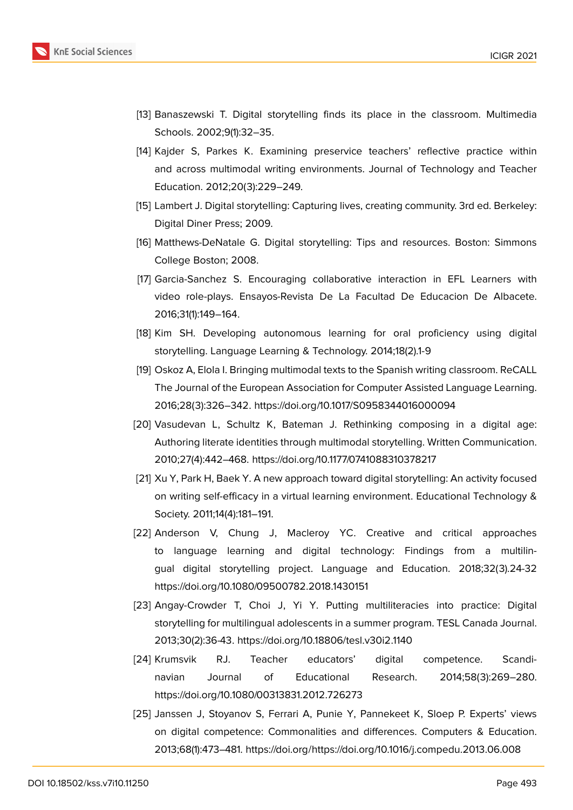

- <span id="page-18-0"></span>[13] Banaszewski T. Digital storytelling finds its place in the classroom. Multimedia Schools. 2002;9(1):32–35.
- <span id="page-18-1"></span>[14] Kajder S, Parkes K. Examining preservice teachers' reflective practice within and across multimodal writing environments. Journal of Technology and Teacher Education. 2012;20(3):229–249.
- <span id="page-18-2"></span>[15] Lambert J. Digital storytelling: Capturing lives, creating community. 3rd ed. Berkeley: Digital Diner Press; 2009.
- <span id="page-18-3"></span>[16] Matthews-DeNatale G. Digital storytelling: Tips and resources. Boston: Simmons College Boston; 2008.
- <span id="page-18-4"></span>[17] Garcia-Sanchez S. Encouraging collaborative interaction in EFL Learners with video role-plays. Ensayos-Revista De La Facultad De Educacion De Albacete. 2016;31(1):149–164.
- [18] Kim SH. Developing autonomous learning for oral proficiency using digital storytelling. Language Learning & Technology. 2014;18(2).1-9
- <span id="page-18-5"></span>[19] Oskoz A, Elola I. Bringing multimodal texts to the Spanish writing classroom. ReCALL The Journal of the European Association for Computer Assisted Language Learning. 2016;28(3):326–342. https://doi.org/10.1017/S0958344016000094
- <span id="page-18-6"></span>[20] Vasudevan L, Schultz K, Bateman J. Rethinking composing in a digital age: Authoring literate identities through multimodal storytelling. Written Communication. 2010;27(4):442–468. https://doi.org/10.1177/0741088310378217
- <span id="page-18-7"></span>[21] Xu Y, Park H, Baek Y. A new approach toward digital storytelling: An activity focused on writing self-efficacy in a virtual learning environment. Educational Technology & Society. 2011;14(4):181–191.
- <span id="page-18-8"></span>[22] Anderson V, Chung J, Macleroy YC. Creative and critical approaches to language learning and digital technology: Findings from a multilingual digital storytelling project. Language and Education. 2018;32(3).24-32 https://doi.org/10.1080/09500782.2018.1430151
- <span id="page-18-9"></span>[23] Angay-Crowder T, Choi J, Yi Y. Putting multiliteracies into practice: Digital storytelling for multilingual adolescents in a summer program. TESL Canada Journal. 2013;30(2):36-43. https://doi.org/10.18806/tesl.v30i2.1140
- <span id="page-18-10"></span>[24] Krumsvik RJ. Teacher educators' digital competence. Scandinavian Journal of Educational Research. 2014;58(3):269–280. https://doi.org/10.1080/00313831.2012.726273
- [25] Janssen J, Stoyanov S, Ferrari A, Punie Y, Pannekeet K, Sloep P. Experts' views on digital competence: Commonalities and differences. Computers & Education. 2013;68(1):473–481. https://doi.org/https://doi.org/10.1016/j.compedu.2013.06.008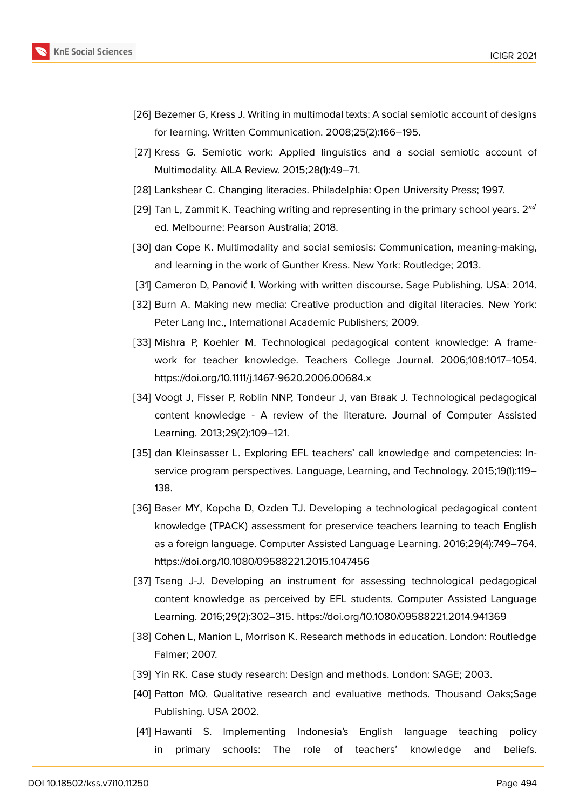

- <span id="page-19-0"></span>[26] Bezemer G, Kress J. Writing in multimodal texts: A social semiotic account of designs for learning. Written Communication. 2008;25(2):166–195.
- <span id="page-19-1"></span>[27] Kress G. Semiotic work: Applied linguistics and a social semiotic account of Multimodality. AILA Review. 2015;28(1):49–71.
- <span id="page-19-2"></span>[28] Lankshear C. Changing literacies. Philadelphia: Open University Press; 1997.
- <span id="page-19-4"></span>[29] Tan L, Zammit K. Teaching writing and representing in the primary school years.  $2^{nd}$ ed. Melbourne: Pearson Australia; 2018.
- <span id="page-19-3"></span>[30] dan Cope K. Multimodality and social semiosis: Communication, meaning-making, and learning in the work of Gunther Kress. New York: Routledge; 2013.
- <span id="page-19-5"></span>[31] Cameron D, Panović I. Working with written discourse. Sage Publishing. USA: 2014.
- <span id="page-19-6"></span>[32] Burn A. Making new media: Creative production and digital literacies. New York: Peter Lang Inc., International Academic Publishers; 2009.
- <span id="page-19-7"></span>[33] Mishra P, Koehler M. Technological pedagogical content knowledge: A framework for teacher knowledge. Teachers College Journal. 2006;108:1017–1054. https://doi.org/10.1111/j.1467-9620.2006.00684.x
- [34] Voogt J, Fisser P, Roblin NNP, Tondeur J, van Braak J. Technological pedagogical content knowledge - A review of the literature. Journal of Computer Assisted Learning. 2013;29(2):109–121.
- <span id="page-19-8"></span>[35] dan Kleinsasser L. Exploring EFL teachers' call knowledge and competencies: Inservice program perspectives. Language, Learning, and Technology. 2015;19(1):119– 138.
- [36] Baser MY, Kopcha D, Ozden TJ. Developing a technological pedagogical content knowledge (TPACK) assessment for preservice teachers learning to teach English as a foreign language. Computer Assisted Language Learning. 2016;29(4):749–764. https://doi.org/10.1080/09588221.2015.1047456
- [37] Tseng J-J. Developing an instrument for assessing technological pedagogical content knowledge as perceived by EFL students. Computer Assisted Language Learning. 2016;29(2):302–315. https://doi.org/10.1080/09588221.2014.941369
- <span id="page-19-12"></span>[38] Cohen L, Manion L, Morrison K. Research methods in education. London: Routledge Falmer; 2007.
- <span id="page-19-10"></span><span id="page-19-9"></span>[39] Yin RK. Case study research: Design and methods. London: SAGE; 2003.
- [40] Patton MQ. Qualitative research and evaluative methods. Thousand Oaks;Sage Publishing. USA 2002.
- <span id="page-19-11"></span>[41] Hawanti S. Implementing Indonesia's English language teaching policy in primary schools: The role of teachers' knowledge and beliefs.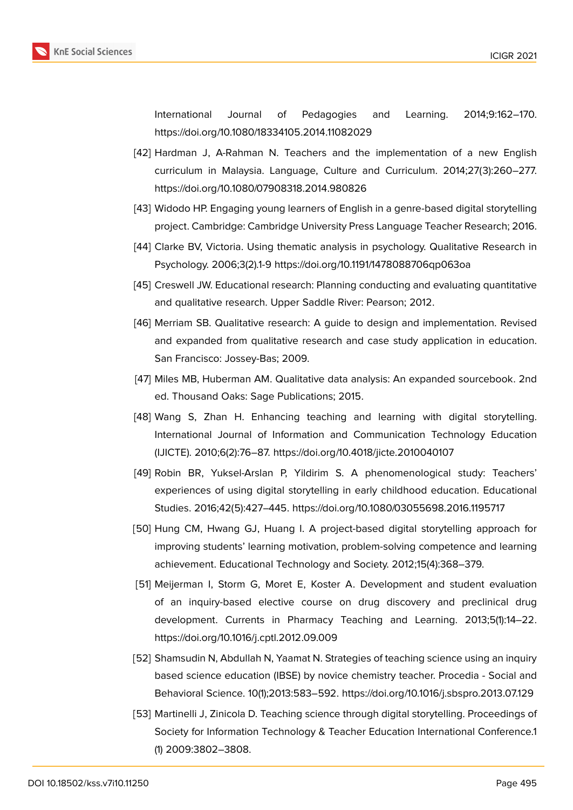

International Journal of Pedagogies and Learning. 2014;9:162–170. https://doi.org/10.1080/18334105.2014.11082029

- [42] Hardman J, A-Rahman N. Teachers and the implementation of a new English curriculum in Malaysia. Language, Culture and Curriculum. 2014;27(3):260–277. https://doi.org/10.1080/07908318.2014.980826
- <span id="page-20-0"></span>[43] Widodo HP. Engaging young learners of English in a genre-based digital storytelling project. Cambridge: Cambridge University Press Language Teacher Research; 2016.
- <span id="page-20-1"></span>[44] Clarke BV, Victoria. Using thematic analysis in psychology. Qualitative Research in Psychology. 2006;3(2).1-9 https://doi.org/10.1191/1478088706qp063oa
- <span id="page-20-2"></span>[45] Creswell JW. Educational research: Planning conducting and evaluating quantitative and qualitative research. Upper Saddle River: Pearson; 2012.
- <span id="page-20-3"></span>[46] Merriam SB. Qualitative research: A guide to design and implementation. Revised and expanded from qualitative research and case study application in education. San Francisco: Jossey-Bas; 2009.
- <span id="page-20-4"></span>[47] Miles MB, Huberman AM. Qualitative data analysis: An expanded sourcebook. 2nd ed. Thousand Oaks: Sage Publications; 2015.
- <span id="page-20-5"></span>[48] Wang S, Zhan H. Enhancing teaching and learning with digital storytelling. International Journal of Information and Communication Technology Education (IJICTE). 2010;6(2):76–87. https://doi.org/10.4018/jicte.2010040107
- <span id="page-20-6"></span>[49] Robin BR, Yuksel-Arslan P, Yildirim S. A phenomenological study: Teachers' experiences of using digital storytelling in early childhood education. Educational Studies. 2016;42(5):427–445. https://doi.org/10.1080/03055698.2016.1195717
- <span id="page-20-7"></span>[50] Hung CM, Hwang GJ, Huang I. A project-based digital storytelling approach for improving students' learning motivation, problem-solving competence and learning achievement. Educational Technology and Society. 2012;15(4):368–379.
- <span id="page-20-8"></span>[51] Meijerman I, Storm G, Moret E, Koster A. Development and student evaluation of an inquiry-based elective course on drug discovery and preclinical drug development. Currents in Pharmacy Teaching and Learning. 2013;5(1):14–22. https://doi.org/10.1016/j.cptl.2012.09.009
- <span id="page-20-9"></span>[52] Shamsudin N, Abdullah N, Yaamat N. Strategies of teaching science using an inquiry based science education (IBSE) by novice chemistry teacher. Procedia - Social and Behavioral Science. 10(1);2013:583–592. https://doi.org/10.1016/j.sbspro.2013.07.129
- <span id="page-20-10"></span>[53] Martinelli J, Zinicola D. Teaching science through digital storytelling. Proceedings of Society for Information Technology & Teacher Education International Conference.1 (1) 2009:3802–3808.